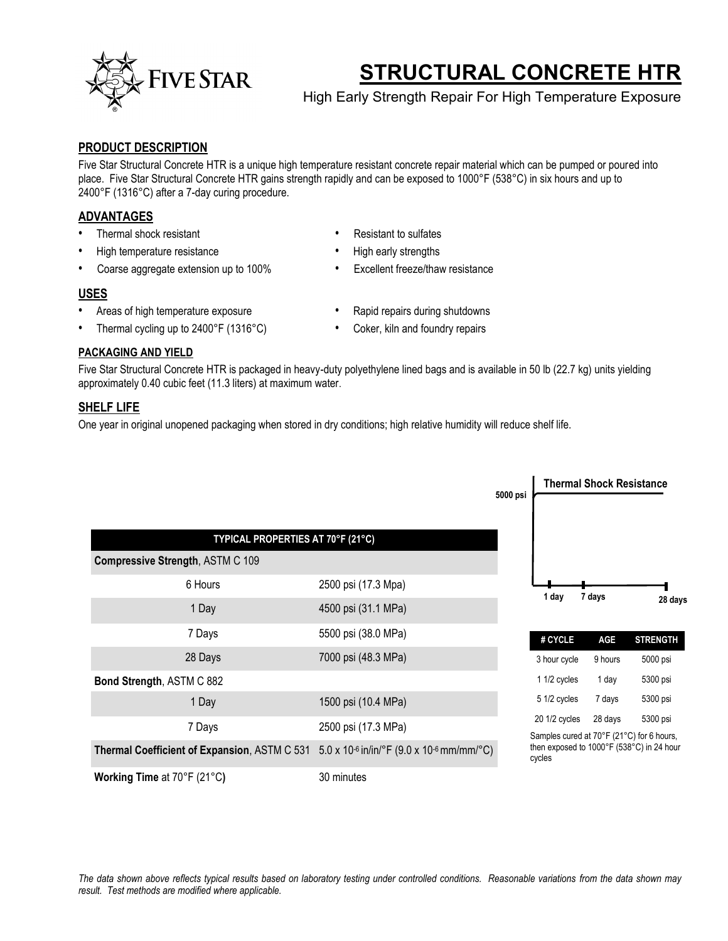

# **STRUCTURAL CONCRETE HTR**

High Early Strength Repair For High Temperature Exposure

## **PRODUCT DESCRIPTION**

Five Star Structural Concrete HTR is a unique high temperature resistant concrete repair material which can be pumped or poured into place. Five Star Structural Concrete HTR gains strength rapidly and can be exposed to 1000°F (538°C) in six hours and up to 2400°F (1316°C) after a 7-day curing procedure.

## **ADVANTAGES**

- Thermal shock resistant **•** Resistant to sulfates
- 
- Coarse aggregate extension up to 100% Excellent freeze/thaw resistance

## **USES**

- Areas of high temperature exposure Rapid repairs during shutdowns
- 
- High temperature resistance High early strengths
	-
	-
- 
- Thermal cycling up to 2400°F (1316°C) Coker, kiln and foundry repairs

#### **PACKAGING AND YIELD**

Five Star Structural Concrete HTR is packaged in heavy-duty polyethylene lined bags and is available in 50 lb (22.7 kg) units yielding approximately 0.40 cubic feet (11.3 liters) at maximum water.

## **SHELF LIFE**

One year in original unopened packaging when stored in dry conditions; high relative humidity will reduce shelf life.

|                                              |                                                                 | 5000 psi | <b>Thermal Shock Resistance</b>                                                                  |         |                 |  |
|----------------------------------------------|-----------------------------------------------------------------|----------|--------------------------------------------------------------------------------------------------|---------|-----------------|--|
| TYPICAL PROPERTIES AT 70°F (21°C)            |                                                                 |          |                                                                                                  |         |                 |  |
| Compressive Strength, ASTM C 109             |                                                                 |          |                                                                                                  |         |                 |  |
| 6 Hours                                      | 2500 psi (17.3 Mpa)                                             |          |                                                                                                  |         | 28 days         |  |
| 1 Day                                        | 4500 psi (31.1 MPa)                                             |          | 1 day                                                                                            | 7 days  |                 |  |
| 7 Days                                       | 5500 psi (38.0 MPa)                                             |          | # CYCLE                                                                                          | AGE     | <b>STRENGTH</b> |  |
| 28 Days                                      | 7000 psi (48.3 MPa)                                             |          | 3 hour cycle                                                                                     | 9 hours | 5000 psi        |  |
| Bond Strength, ASTM C 882                    |                                                                 |          | 1 1/2 cycles                                                                                     | 1 day   | 5300 psi        |  |
| 1 Day                                        | 1500 psi (10.4 MPa)                                             |          | 5 1/2 cycles                                                                                     | 7 days  | 5300 psi        |  |
| 7 Days                                       | 2500 psi (17.3 MPa)                                             |          | 20 1/2 cycles                                                                                    | 28 days | 5300 psi        |  |
| Thermal Coefficient of Expansion, ASTM C 531 | $5.0 \times 10^{-6}$ in/in/°F (9.0 x 10 <sup>-6</sup> mm/mm/°C) |          | Samples cured at 70°F (21°C) for 6 hours,<br>then exposed to 1000°F (538°C) in 24 hour<br>cycles |         |                 |  |
| Working Time at 70°F (21°C)                  | 30 minutes                                                      |          |                                                                                                  |         |                 |  |

*The data shown above reflects typical results based on laboratory testing under controlled conditions. Reasonable variations from the data shown may result. Test methods are modified where applicable.*